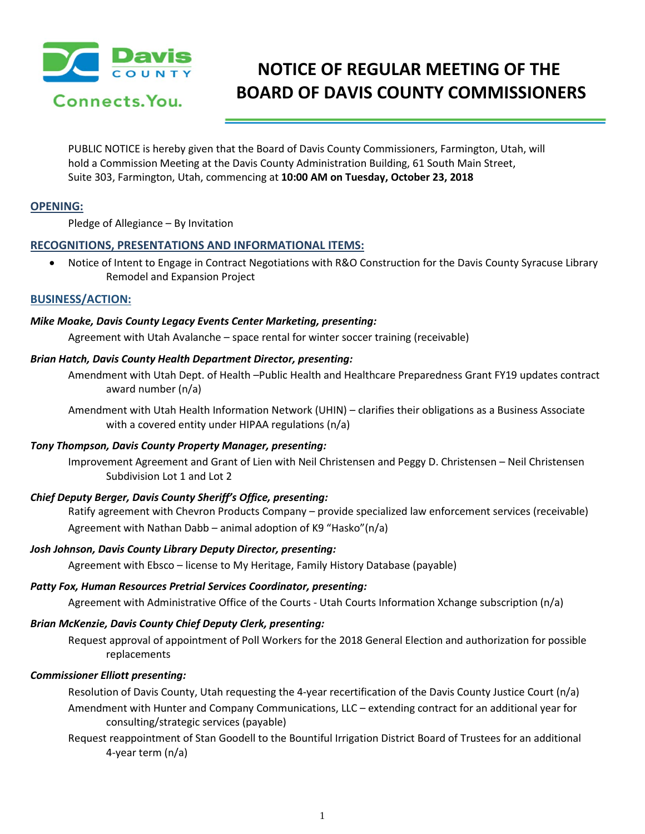

# **NOTICE OF REGULAR MEETING OF THE BOARD OF DAVIS COUNTY COMMISSIONERS**

PUBLIC NOTICE is hereby given that the Board of Davis County Commissioners, Farmington, Utah, will hold a Commission Meeting at the Davis County Administration Building, 61 South Main Street, Suite 303, Farmington, Utah, commencing at **10:00 AM on Tuesday, October 23, 2018**

# **OPENING:**

Pledge of Allegiance – By Invitation

# **RECOGNITIONS, PRESENTATIONS AND INFORMATIONAL ITEMS:**

• Notice of Intent to Engage in Contract Negotiations with R&O Construction for the Davis County Syracuse Library Remodel and Expansion Project

#### **BUSINESS/ACTION:**

#### *Mike Moake, Davis County Legacy Events Center Marketing, presenting:*

Agreement with Utah Avalanche – space rental for winter soccer training (receivable)

#### *Brian Hatch, Davis County Health Department Director, presenting:*

Amendment with Utah Dept. of Health –Public Health and Healthcare Preparedness Grant FY19 updates contract award number (n/a)

Amendment with Utah Health Information Network (UHIN) – clarifies their obligations as a Business Associate with a covered entity under HIPAA regulations (n/a)

#### *Tony Thompson, Davis County Property Manager, presenting:*

Improvement Agreement and Grant of Lien with Neil Christensen and Peggy D. Christensen – Neil Christensen Subdivision Lot 1 and Lot 2

# *Chief Deputy Berger, Davis County Sheriff's Office, presenting:*

Ratify agreement with Chevron Products Company – provide specialized law enforcement services (receivable) Agreement with Nathan Dabb – animal adoption of K9 "Hasko"(n/a)

#### *Josh Johnson, Davis County Library Deputy Director, presenting:*

Agreement with Ebsco – license to My Heritage, Family History Database (payable)

#### *Patty Fox, Human Resources Pretrial Services Coordinator, presenting:*

Agreement with Administrative Office of the Courts - Utah Courts Information Xchange subscription (n/a)

# *Brian McKenzie, Davis County Chief Deputy Clerk, presenting:*

Request approval of appointment of Poll Workers for the 2018 General Election and authorization for possible replacements

# *Commissioner Elliott presenting:*

Resolution of Davis County, Utah requesting the 4-year recertification of the Davis County Justice Court (n/a) Amendment with Hunter and Company Communications, LLC – extending contract for an additional year for consulting/strategic services (payable)

Request reappointment of Stan Goodell to the Bountiful Irrigation District Board of Trustees for an additional 4-year term (n/a)